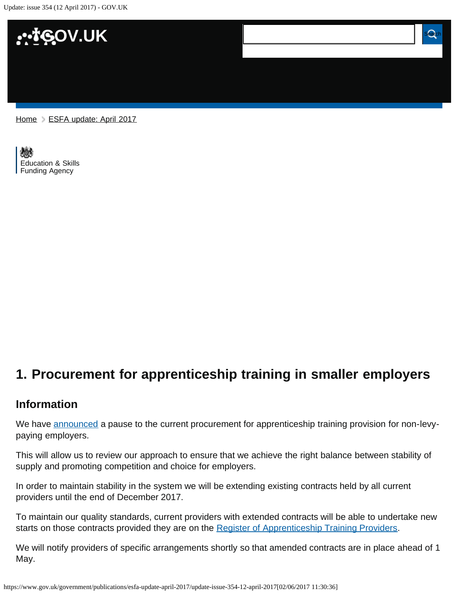Update: issue 354 (12 April 2017) - GOV.UK



[Home](https://www.gov.uk/) > [ESFA update: April 2017](https://www.gov.uk/government/publications/esfa-update-april-2017)

[Education & Skills](https://www.gov.uk/government/organisations/education-and-skills-funding-agency)  [Funding Agency](https://www.gov.uk/government/organisations/education-and-skills-funding-agency)

## <span id="page-0-0"></span>**1. Procurement for apprenticeship training in smaller employers**

#### **Information**

We have [announced](https://www.gov.uk/government/news/procurement-for-apprenticeship-training-in-smaller-employers) a pause to the current procurement for apprenticeship training provision for non-levypaying employers.

This will allow us to review our approach to ensure that we achieve the right balance between stability of supply and promoting competition and choice for employers.

In order to maintain stability in the system we will be extending existing contracts held by all current providers until the end of December 2017.

To maintain our quality standards, current providers with extended contracts will be able to undertake new starts on those contracts provided they are on the [Register of Apprenticeship Training Providers.](https://www.gov.uk/guidance/register-of-apprenticeship-training-providers)

We will notify providers of specific arrangements shortly so that amended contracts are in place ahead of 1 May.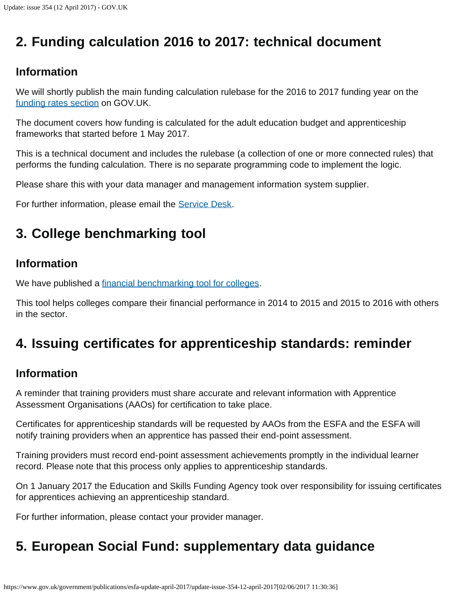# <span id="page-1-0"></span>**2. Funding calculation 2016 to 2017: technical document**

## **Information**

We will shortly publish the main funding calculation rulebase for the 2016 to 2017 funding year on the [funding rates section](https://www.gov.uk/government/collections/sfa-funding-rates) on GOV.UK.

The document covers how funding is calculated for the adult education budget and apprenticeship frameworks that started before 1 May 2017.

This is a technical document and includes the rulebase (a collection of one or more connected rules) that performs the funding calculation. There is no separate programming code to implement the logic.

Please share this with your data manager and management information system supplier.

For further information, please email the **Service Desk.** 

# <span id="page-1-1"></span>**3. College benchmarking tool**

## **Information**

We have published a [financial benchmarking tool for colleges](https://www.gov.uk/government/publications/financial-benchmarking-tool-for-colleges).

This tool helps colleges compare their financial performance in 2014 to 2015 and 2015 to 2016 with others in the sector.

## <span id="page-1-2"></span>**4. Issuing certificates for apprenticeship standards: reminder**

## **Information**

A reminder that training providers must share accurate and relevant information with Apprentice Assessment Organisations (AAOs) for certification to take place.

Certificates for apprenticeship standards will be requested by AAOs from the ESFA and the ESFA will notify training providers when an apprentice has passed their end-point assessment.

Training providers must record end-point assessment achievements promptly in the individual learner record. Please note that this process only applies to apprenticeship standards.

On 1 January 2017 the Education and Skills Funding Agency took over responsibility for issuing certificates for apprentices achieving an apprenticeship standard.

For further information, please contact your provider manager.

# <span id="page-1-3"></span>**5. European Social Fund: supplementary data guidance**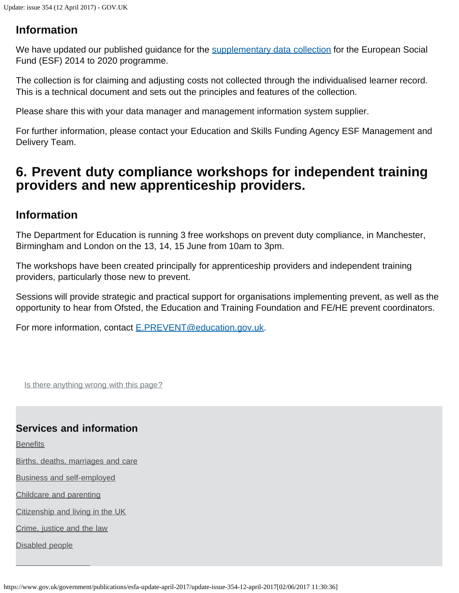### **Information**

We have updated our published guidance for the [supplementary data collection](https://www.gov.uk/government/publications/sfa-supplementary-data-collection) for the European Social Fund (ESF) 2014 to 2020 programme.

The collection is for claiming and adjusting costs not collected through the individualised learner record. This is a technical document and sets out the principles and features of the collection.

Please share this with your data manager and management information system supplier.

For further information, please contact your Education and Skills Funding Agency ESF Management and Delivery Team.

## <span id="page-2-0"></span>**6. Prevent duty compliance workshops for independent training providers and new apprenticeship providers.**

#### **Information**

The Department for Education is running 3 free workshops on prevent duty compliance, in Manchester, Birmingham and London on the 13, 14, 15 June from 10am to 3pm.

The workshops have been created principally for apprenticeship providers and independent training providers, particularly those new to prevent.

Sessions will provide strategic and practical support for organisations implementing prevent, as well as the opportunity to hear from Ofsted, the Education and Training Foundation and FE/HE prevent coordinators.

For more information, contact [E.PREVENT@education.gov.uk](mailto:E.PREVENT@education.gov.uk).

Is there anything wrong with this page?

#### **Services and information**

**[Benefits](https://www.gov.uk/browse/benefits)** 

[Births, deaths, marriages and care](https://www.gov.uk/browse/births-deaths-marriages)

[Business and self-employed](https://www.gov.uk/browse/business)

[Childcare and parenting](https://www.gov.uk/browse/childcare-parenting)

[Citizenship and living in the UK](https://www.gov.uk/browse/citizenship)

[Crime, justice and the law](https://www.gov.uk/browse/justice)

[Disabled people](https://www.gov.uk/browse/disabilities)

https://www.gov.uk/government/publications/esfa-update-april-2017/update-issue-354-12-april-2017[02/06/2017 11:30:36]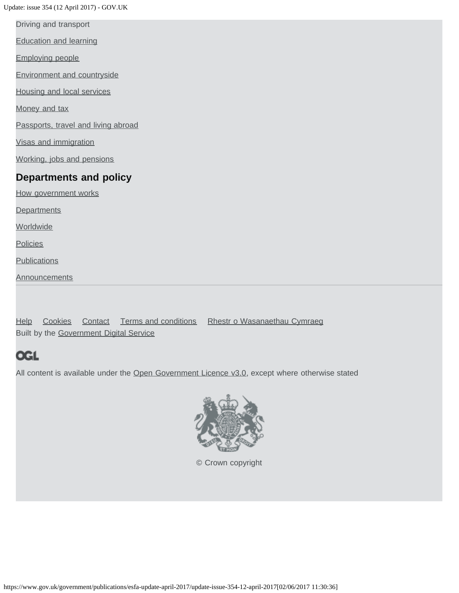Update: issue 354 (12 April 2017) - GOV.UK

[Driving and transport](https://www.gov.uk/browse/driving)

[Education and learning](https://www.gov.uk/browse/education)

[Employing people](https://www.gov.uk/browse/employing-people)

[Environment and countryside](https://www.gov.uk/browse/environment-countryside)

[Housing and local services](https://www.gov.uk/browse/housing-local-services)

[Money and tax](https://www.gov.uk/browse/tax)

[Passports, travel and living abroad](https://www.gov.uk/browse/abroad)

[Visas and immigration](https://www.gov.uk/browse/visas-immigration)

[Working, jobs and pensions](https://www.gov.uk/browse/working)

#### **Departments and policy**

[How government works](https://www.gov.uk/government/how-government-works)

**[Departments](https://www.gov.uk/government/organisations)** 

**[Worldwide](https://www.gov.uk/government/world)** 

**[Policies](https://www.gov.uk/government/policies)** 

**[Publications](https://www.gov.uk/government/publications)** 

**[Announcements](https://www.gov.uk/government/announcements)** 

[Help](https://www.gov.uk/help) [Cookies](https://www.gov.uk/help/cookies) [Contact](https://www.gov.uk/contact) [Terms and conditions](https://www.gov.uk/help/terms-conditions) [Rhestr o Wasanaethau Cymraeg](https://www.gov.uk/cymraeg) Built by the [Government Digital Service](https://www.gov.uk/government/organisations/government-digital-service)

### **OGL**

All content is available under the [Open Government Licence v3.0,](https://www.nationalarchives.gov.uk/doc/open-government-licence/version/3/) except where otherwise stated



[© Crown copyright](http://www.nationalarchives.gov.uk/information-management/re-using-public-sector-information/copyright-and-re-use/crown-copyright/)